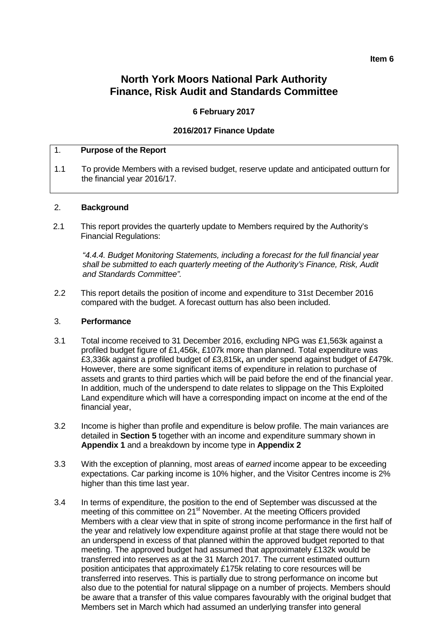#### **Item 6**

# **North York Moors National Park Authority Finance, Risk Audit and Standards Committee**

# **6 February 2017**

## **2016/2017 Finance Update**

## 1. **Purpose of the Report**

1.1 To provide Members with a revised budget, reserve update and anticipated outturn for the financial year 2016/17.

## 2. **Background**

2.1 This report provides the quarterly update to Members required by the Authority's Financial Regulations:

*"4.4.4. Budget Monitoring Statements, including a forecast for the full financial year shall be submitted to each quarterly meeting of the Authority's Finance, Risk, Audit and Standards Committee".*

2.2 This report details the position of income and expenditure to 31st December 2016 compared with the budget. A forecast outturn has also been included.

## 3. **Performance**

- 3.1 Total income received to 31 December 2016, excluding NPG was £1,563k against a profiled budget figure of £1,456k, £107k more than planned. Total expenditure was £3,336k against a profiled budget of £3,815k**,** an under spend against budget of £479k. However, there are some significant items of expenditure in relation to purchase of assets and grants to third parties which will be paid before the end of the financial year. In addition, much of the underspend to date relates to slippage on the This Exploited Land expenditure which will have a corresponding impact on income at the end of the financial year,
- 3.2 Income is higher than profile and expenditure is below profile. The main variances are detailed in **Section 5** together with an income and expenditure summary shown in **Appendix 1** and a breakdown by income type in **Appendix 2**
- 3.3 With the exception of planning, most areas of *earned* income appear to be exceeding expectations. Car parking income is 10% higher, and the Visitor Centres income is 2% higher than this time last year.
- 3.4 In terms of expenditure, the position to the end of September was discussed at the meeting of this committee on 21<sup>st</sup> November. At the meeting Officers provided Members with a clear view that in spite of strong income performance in the first half of the year and relatively low expenditure against profile at that stage there would not be an underspend in excess of that planned within the approved budget reported to that meeting. The approved budget had assumed that approximately £132k would be transferred into reserves as at the 31 March 2017. The current estimated outturn position anticipates that approximately £175k relating to core resources will be transferred into reserves. This is partially due to strong performance on income but also due to the potential for natural slippage on a number of projects. Members should be aware that a transfer of this value compares favourably with the original budget that Members set in March which had assumed an underlying transfer into general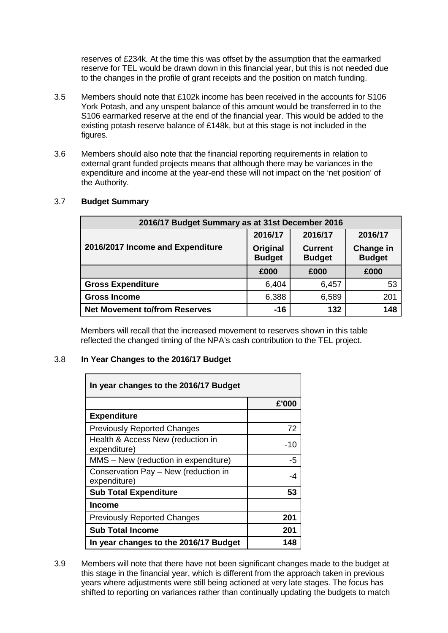reserves of £234k. At the time this was offset by the assumption that the earmarked reserve for TEL would be drawn down in this financial year, but this is not needed due to the changes in the profile of grant receipts and the position on match funding.

- 3.5 Members should note that £102k income has been received in the accounts for S106 York Potash, and any unspent balance of this amount would be transferred in to the S106 earmarked reserve at the end of the financial year. This would be added to the existing potash reserve balance of £148k, but at this stage is not included in the figures.
- 3.6 Members should also note that the financial reporting requirements in relation to external grant funded projects means that although there may be variances in the expenditure and income at the year-end these will not impact on the 'net position' of the Authority.

| 2016/17 Budget Summary as at 31st December 2016 |                           |                                 |                            |  |  |
|-------------------------------------------------|---------------------------|---------------------------------|----------------------------|--|--|
|                                                 | 2016/17                   | 2016/17                         | 2016/17                    |  |  |
| 2016/2017 Income and Expenditure                | Original<br><b>Budget</b> | <b>Current</b><br><b>Budget</b> | Change in<br><b>Budget</b> |  |  |
|                                                 | £000                      | £000                            | £000                       |  |  |
| <b>Gross Expenditure</b>                        | 6,404                     | 6,457                           | 53                         |  |  |
| <b>Gross Income</b>                             | 6,388                     | 6,589                           | 201                        |  |  |
| <b>Net Movement to/from Reserves</b>            | $-16$                     | 132                             | 148                        |  |  |

# 3.7 **Budget Summary**

Members will recall that the increased movement to reserves shown in this table reflected the changed timing of the NPA's cash contribution to the TEL project.

# 3.8 **In Year Changes to the 2016/17 Budget**

| In year changes to the 2016/17 Budget                |       |  |  |  |  |
|------------------------------------------------------|-------|--|--|--|--|
|                                                      | £'000 |  |  |  |  |
| <b>Expenditure</b>                                   |       |  |  |  |  |
| <b>Previously Reported Changes</b>                   | 72    |  |  |  |  |
| Health & Access New (reduction in<br>expenditure)    | $-10$ |  |  |  |  |
| MMS - New (reduction in expenditure)                 | $-5$  |  |  |  |  |
| Conservation Pay - New (reduction in<br>expenditure) | -4    |  |  |  |  |
| <b>Sub Total Expenditure</b>                         | 53    |  |  |  |  |
| <b>Income</b>                                        |       |  |  |  |  |
| <b>Previously Reported Changes</b>                   | 201   |  |  |  |  |
| <b>Sub Total Income</b>                              | 201   |  |  |  |  |
| In year changes to the 2016/17 Budget                | 148   |  |  |  |  |

3.9 Members will note that there have not been significant changes made to the budget at this stage in the financial year, which is different from the approach taken in previous years where adjustments were still being actioned at very late stages. The focus has shifted to reporting on variances rather than continually updating the budgets to match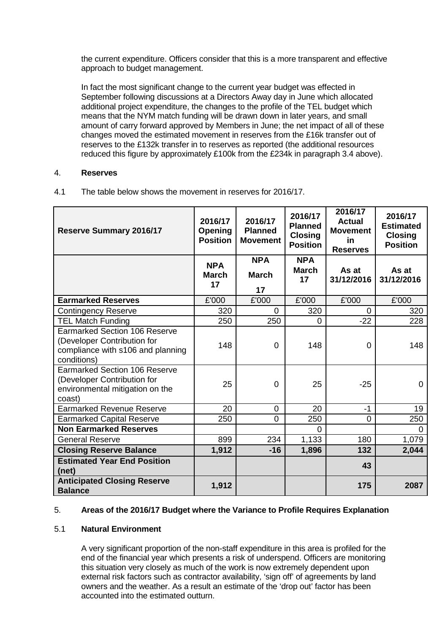the current expenditure. Officers consider that this is a more transparent and effective approach to budget management.

In fact the most significant change to the current year budget was effected in September following discussions at a Directors Away day in June which allocated additional project expenditure, the changes to the profile of the TEL budget which means that the NYM match funding will be drawn down in later years, and small amount of carry forward approved by Members in June; the net impact of all of these changes moved the estimated movement in reserves from the £16k transfer out of reserves to the £132k transfer in to reserves as reported (the additional resources reduced this figure by approximately £100k from the £234k in paragraph 3.4 above).

## 4. **Reserves**

| 4.1 | The table below shows the movement in reserves for 2016/17. |
|-----|-------------------------------------------------------------|
|-----|-------------------------------------------------------------|

| <b>Reserve Summary 2016/17</b>                                                                                          | 2016/17<br>Opening<br><b>Position</b> | 2016/17<br><b>Planned</b><br><b>Movement</b> | 2016/17<br><b>Planned</b><br><b>Closing</b><br><b>Position</b> | 2016/17<br><b>Actual</b><br><b>Movement</b><br><b>in</b><br><b>Reserves</b> | 2016/17<br><b>Estimated</b><br><b>Closing</b><br><b>Position</b> |
|-------------------------------------------------------------------------------------------------------------------------|---------------------------------------|----------------------------------------------|----------------------------------------------------------------|-----------------------------------------------------------------------------|------------------------------------------------------------------|
|                                                                                                                         | <b>NPA</b><br><b>March</b><br>17      | <b>NPA</b><br><b>March</b><br>17             | <b>NPA</b><br><b>March</b><br>17                               | As at<br>31/12/2016                                                         | As at<br>31/12/2016                                              |
| <b>Earmarked Reserves</b>                                                                                               | £'000                                 | £'000                                        | £'000                                                          | £'000                                                                       | £'000                                                            |
| <b>Contingency Reserve</b>                                                                                              | 320                                   | 0                                            | 320                                                            | 0                                                                           | 320                                                              |
| <b>TEL Match Funding</b>                                                                                                | 250                                   | 250                                          | 0                                                              | $-22$                                                                       | 228                                                              |
| <b>Earmarked Section 106 Reserve</b><br>(Developer Contribution for<br>compliance with s106 and planning<br>conditions) | 148                                   | $\Omega$                                     | 148                                                            | $\overline{0}$                                                              | 148                                                              |
| <b>Earmarked Section 106 Reserve</b><br>(Developer Contribution for<br>environmental mitigation on the<br>coast)        | 25                                    | $\mathbf 0$                                  | 25                                                             | $-25$                                                                       | 0                                                                |
| <b>Earmarked Revenue Reserve</b>                                                                                        | 20                                    | $\Omega$                                     | 20                                                             | $-1$                                                                        | 19                                                               |
| <b>Earmarked Capital Reserve</b>                                                                                        | 250                                   | 0                                            | 250                                                            | 0                                                                           | 250                                                              |
| <b>Non Earmarked Reserves</b>                                                                                           |                                       |                                              | $\Omega$                                                       |                                                                             | 0                                                                |
| <b>General Reserve</b>                                                                                                  | 899                                   | 234                                          | 1,133                                                          | 180                                                                         | 1,079                                                            |
| <b>Closing Reserve Balance</b>                                                                                          | 1,912                                 | $-16$                                        | 1,896                                                          | 132                                                                         | 2,044                                                            |
| <b>Estimated Year End Position</b><br>(net)                                                                             |                                       |                                              |                                                                | 43                                                                          |                                                                  |
| <b>Anticipated Closing Reserve</b><br><b>Balance</b>                                                                    | 1,912                                 |                                              |                                                                | 175                                                                         | 2087                                                             |

# 5. **Areas of the 2016/17 Budget where the Variance to Profile Requires Explanation**

# 5.1 **Natural Environment**

A very significant proportion of the non-staff expenditure in this area is profiled for the end of the financial year which presents a risk of underspend. Officers are monitoring this situation very closely as much of the work is now extremely dependent upon external risk factors such as contractor availability, 'sign off' of agreements by land owners and the weather. As a result an estimate of the 'drop out' factor has been accounted into the estimated outturn.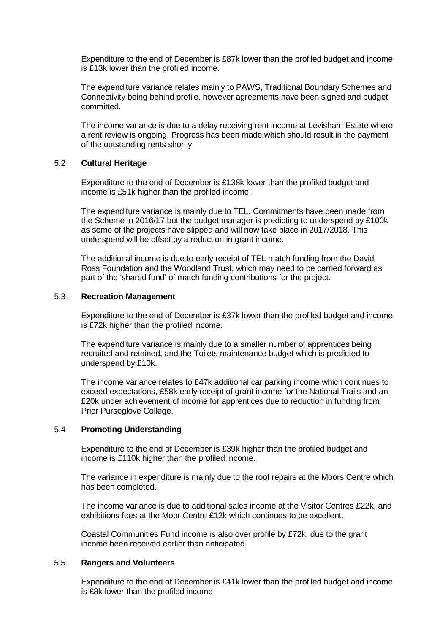Expenditure to the end of December is £87k lower than the profiled budget and income is £13k lower than the profiled income.

The expenditure variance relates mainly to PAWS, Traditional Boundary Schemes and Connectivity being behind profile, however agreements have been signed and budget committed.

The income variance is due to a delay receiving rent income at Levisham Estate where a rent review is ongoing. Progress has been made which should result in the payment of the outstanding rents shortly

## 5.2 **Cultural Heritage**

Expenditure to the end of December is £138k lower than the profiled budget and income is £51k higher than the profiled income.

The expenditure variance is mainly due to TEL. Commitments have been made from the Scheme in 2016/17 but the budget manager is predicting to underspend by £100k as some of the projects have slipped and will now take place in 2017/2018. This underspend will be offset by a reduction in grant income.

The additional income is due to early receipt of TEL match funding from the David Ross Foundation and the Woodland Trust, which may need to be carried forward as part of the 'shared fund' of match funding contributions for the project.

## 5.3 **Recreation Management**

Expenditure to the end of December is £37k lower than the profiled budget and income is £72k higher than the profiled income.

The expenditure variance is mainly due to a smaller number of apprentices being recruited and retained, and the Toilets maintenance budget which is predicted to underspend by £10k.

The income variance relates to £47k additional car parking income which continues to exceed expectations, £58k early receipt of grant income for the National Trails and an £20k under achievement of income for apprentices due to reduction in funding from Prior Purseglove College.

## 5.4 **Promoting Understanding**

Expenditure to the end of December is £39k higher than the profiled budget and income is £110k higher than the profiled income.

The variance in expenditure is mainly due to the roof repairs at the Moors Centre which has been completed.

The income variance is due to additional sales income at the Visitor Centres £22k, and exhibitions fees at the Moor Centre £12k which continues to be excellent.

. Coastal Communities Fund income is also over profile by £72k, due to the grant income been received earlier than anticipated.

## 5.5 **Rangers and Volunteers**

Expenditure to the end of December is £41k lower than the profiled budget and income is £8k lower than the profiled income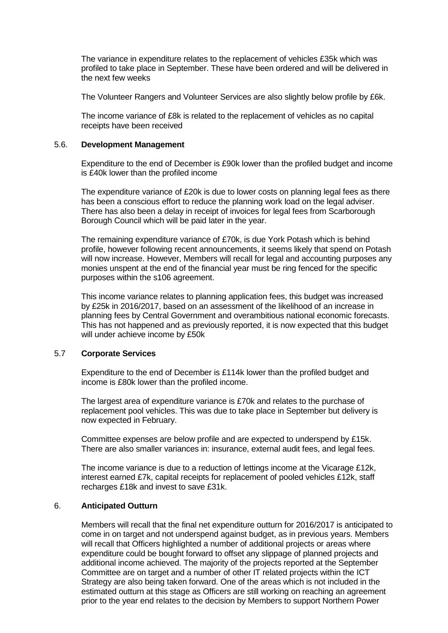The variance in expenditure relates to the replacement of vehicles £35k which was profiled to take place in September. These have been ordered and will be delivered in the next few weeks

The Volunteer Rangers and Volunteer Services are also slightly below profile by £6k.

The income variance of £8k is related to the replacement of vehicles as no capital receipts have been received

## 5.6. **Development Management**

Expenditure to the end of December is £90k lower than the profiled budget and income is £40k lower than the profiled income

The expenditure variance of £20k is due to lower costs on planning legal fees as there has been a conscious effort to reduce the planning work load on the legal adviser. There has also been a delay in receipt of invoices for legal fees from Scarborough Borough Council which will be paid later in the year.

The remaining expenditure variance of £70k, is due York Potash which is behind profile, however following recent announcements, it seems likely that spend on Potash will now increase. However, Members will recall for legal and accounting purposes any monies unspent at the end of the financial year must be ring fenced for the specific purposes within the s106 agreement.

This income variance relates to planning application fees, this budget was increased by £25k in 2016/2017, based on an assessment of the likelihood of an increase in planning fees by Central Government and overambitious national economic forecasts. This has not happened and as previously reported, it is now expected that this budget will under achieve income by £50k

## 5.7 **Corporate Services**

Expenditure to the end of December is £114k lower than the profiled budget and income is £80k lower than the profiled income.

The largest area of expenditure variance is £70k and relates to the purchase of replacement pool vehicles. This was due to take place in September but delivery is now expected in February.

Committee expenses are below profile and are expected to underspend by £15k. There are also smaller variances in: insurance, external audit fees, and legal fees.

The income variance is due to a reduction of lettings income at the Vicarage £12k, interest earned £7k, capital receipts for replacement of pooled vehicles £12k, staff recharges £18k and invest to save £31k.

# 6. **Anticipated Outturn**

Members will recall that the final net expenditure outturn for 2016/2017 is anticipated to come in on target and not underspend against budget, as in previous years. Members will recall that Officers highlighted a number of additional projects or areas where expenditure could be bought forward to offset any slippage of planned projects and additional income achieved. The majority of the projects reported at the September Committee are on target and a number of other IT related projects within the ICT Strategy are also being taken forward. One of the areas which is not included in the estimated outturn at this stage as Officers are still working on reaching an agreement prior to the year end relates to the decision by Members to support Northern Power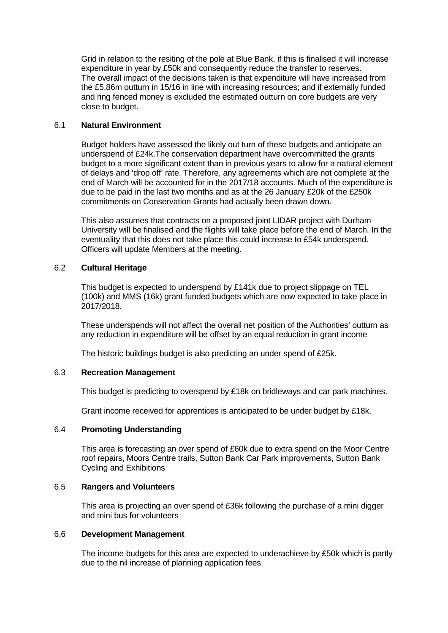Grid in relation to the resiting of the pole at Blue Bank, if this is finalised it will increase expenditure in year by £50k and consequently reduce the transfer to reserves. The overall impact of the decisions taken is that expenditure will have increased from the £5.86m outturn in 15/16 in line with increasing resources; and if externally funded and ring fenced money is excluded the estimated outturn on core budgets are very close to budget.

# 6.1 **Natural Environment**

Budget holders have assessed the likely out turn of these budgets and anticipate an underspend of £24k.The conservation department have overcommitted the grants budget to a more significant extent than in previous years to allow for a natural element of delays and 'drop off' rate. Therefore, any agreements which are not complete at the end of March will be accounted for in the 2017/18 accounts. Much of the expenditure is due to be paid in the last two months and as at the 26 January £20k of the £250k commitments on Conservation Grants had actually been drawn down.

This also assumes that contracts on a proposed joint LIDAR project with Durham University will be finalised and the flights will take place before the end of March. In the eventuality that this does not take place this could increase to £54k underspend. Officers will update Members at the meeting.

# 6.2 **Cultural Heritage**

This budget is expected to underspend by £141k due to project slippage on TEL (100k) and MMS (16k) grant funded budgets which are now expected to take place in 2017/2018.

These underspends will not affect the overall net position of the Authorities' outturn as any reduction in expenditure will be offset by an equal reduction in grant income

The historic buildings budget is also predicting an under spend of £25k.

# 6.3 **Recreation Management**

This budget is predicting to overspend by £18k on bridleways and car park machines.

Grant income received for apprentices is anticipated to be under budget by £18k.

# 6.4 **Promoting Understanding**

This area is forecasting an over spend of £60k due to extra spend on the Moor Centre roof repairs, Moors Centre trails, Sutton Bank Car Park improvements, Sutton Bank Cycling and Exhibitions

# 6.5 **Rangers and Volunteers**

This area is projecting an over spend of £36k following the purchase of a mini digger and mini bus for volunteers

# 6.6 **Development Management**

The income budgets for this area are expected to underachieve by £50k which is partly due to the nil increase of planning application fees.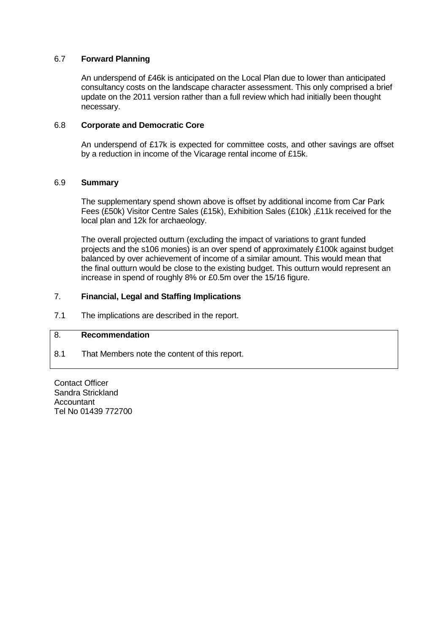# 6.7 **Forward Planning**

An underspend of £46k is anticipated on the Local Plan due to lower than anticipated consultancy costs on the landscape character assessment. This only comprised a brief update on the 2011 version rather than a full review which had initially been thought necessary.

## 6.8 **Corporate and Democratic Core**

An underspend of £17k is expected for committee costs, and other savings are offset by a reduction in income of the Vicarage rental income of £15k.

## 6.9 **Summary**

The supplementary spend shown above is offset by additional income from Car Park Fees (£50k) Visitor Centre Sales (£15k), Exhibition Sales (£10k) ,£11k received for the local plan and 12k for archaeology.

The overall projected outturn (excluding the impact of variations to grant funded projects and the s106 monies) is an over spend of approximately £100k against budget balanced by over achievement of income of a similar amount. This would mean that the final outturn would be close to the existing budget. This outturn would represent an increase in spend of roughly 8% or £0.5m over the 15/16 figure.

## 7. **Financial, Legal and Staffing Implications**

7.1 The implications are described in the report.

# 8. **Recommendation**

8.1 That Members note the content of this report.

Contact Officer Sandra Strickland Accountant Tel No 01439 772700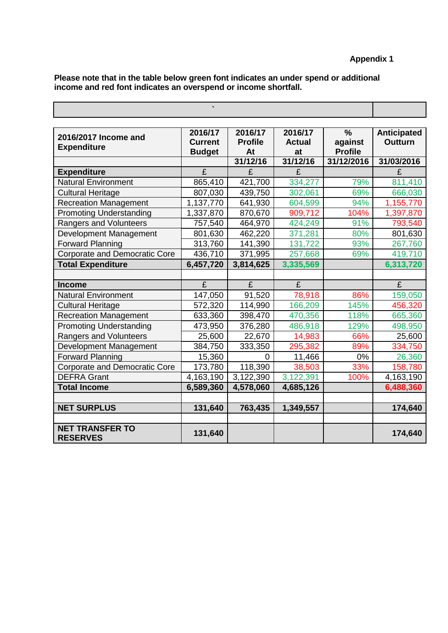**Please note that in the table below green font indicates an under spend or additional income and red font indicates an overspend or income shortfall.**

| 2016/2017 Income and<br><b>Expenditure</b> | 2016/17<br><b>Current</b><br><b>Budget</b> | 2016/17<br><b>Profile</b><br>At | 2016/17<br><b>Actual</b><br>at | $\frac{0}{0}$<br>against<br><b>Profile</b> | <b>Anticipated</b><br><b>Outturn</b> |
|--------------------------------------------|--------------------------------------------|---------------------------------|--------------------------------|--------------------------------------------|--------------------------------------|
|                                            |                                            | 31/12/16                        | 31/12/16                       | 31/12/2016                                 | 31/03/2016                           |
| <b>Expenditure</b>                         | £                                          | £                               | £                              |                                            | £                                    |
| <b>Natural Environment</b>                 | 865,410                                    | 421,700                         | 334,277                        | 79%                                        | 811,410                              |
| <b>Cultural Heritage</b>                   | 807,030                                    | 439,750                         | 302,061                        | 69%                                        | 666,030                              |
| <b>Recreation Management</b>               | 1,137,770                                  | 641,930                         | 604,599                        | 94%                                        | 1,155,770                            |
| <b>Promoting Understanding</b>             | 1,337,870                                  | 870,670                         | 909,712                        | 104%                                       | 1,397,870                            |
| <b>Rangers and Volunteers</b>              | 757,540                                    | 464,970                         | 424,249                        | 91%                                        | 793,540                              |
| Development Management                     | 801,630                                    | 462,220                         | 371,281                        | 80%                                        | 801,630                              |
| <b>Forward Planning</b>                    | 313,760                                    | 141,390                         | 131,722                        | 93%                                        | 267,760                              |
| <b>Corporate and Democratic Core</b>       | 436,710                                    | 371,995                         | 257,668                        | 69%                                        | 419,710                              |
| <b>Total Expenditure</b>                   | 6,457,720                                  | 3,814,625                       | 3,335,569                      |                                            | 6,313,720                            |
|                                            |                                            |                                 |                                |                                            |                                      |
| <b>Income</b>                              | £                                          | £                               | £                              |                                            | £                                    |
| <b>Natural Environment</b>                 | 147,050                                    | 91,520                          | 78,918                         | 86%                                        | 159,050                              |
| <b>Cultural Heritage</b>                   | 572,320                                    | 114,990                         | 166,209                        | 145%                                       | 456,320                              |
| <b>Recreation Management</b>               | 633,360                                    | 398,470                         | 470,356                        | 118%                                       | 665,360                              |
| <b>Promoting Understanding</b>             | 473,950                                    | 376,280                         | 486,918                        | 129%                                       | 498,950                              |
| Rangers and Volunteers                     | 25,600                                     | 22,670                          | 14,983                         | 66%                                        | 25,600                               |
| Development Management                     | 384,750                                    | 333,350                         | 295,382                        | 89%                                        | 334,750                              |
| <b>Forward Planning</b>                    | 15,360                                     | 0                               | 11,466                         | 0%                                         | 26,360                               |
| <b>Corporate and Democratic Core</b>       | 173,780                                    | 118,390                         | 38,503                         | 33%                                        | 158,780                              |
| <b>DEFRA Grant</b>                         | 4,163,190                                  | 3,122,390                       | 3,122,391                      | 100%                                       | 4,163,190                            |
| <b>Total Income</b>                        | 6,589,360                                  | 4,578,060                       | 4,685,126                      |                                            | 6,488,360                            |
|                                            |                                            |                                 |                                |                                            |                                      |
| <b>NET SURPLUS</b>                         | 131,640                                    | 763,435                         | 1,349,557                      |                                            | 174,640                              |
|                                            |                                            |                                 |                                |                                            |                                      |
| <b>NET TRANSFER TO</b><br><b>RESERVES</b>  | 131,640                                    |                                 |                                |                                            | 174,640                              |